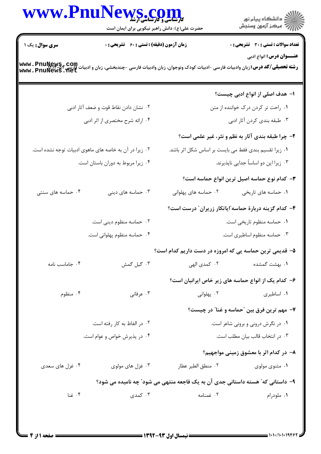## www.PnuNews.col ر<br>گ دانشگاه پیام نور أأأأأ مركز آزمون وسنجش حضرت علی(ع): دانش راهبر نیکویی برای ایمان است **تعداد سوالات : تستي : 30 ٪ تشريحي : 0** سری سوال : یک ۱ **زمان آزمون (دقیقه) : تستی : 60 تشریحی : 0 عنـــوان درس:** انواع ادبي www . PnuNewS , Com<br>وشته تحصیلی/کد درس: زبان وادبیات فارسی -ادبیات کودک ونوجوان، زبان وادبیات فارسی -چندبخشی، زبان و ادبیات فارسی<br>www . PnuNewS . net ۱– هدف اصلی از انواع ادبی چیست؟ ۰۱ ,احت تر کردن درک خواننده از متن ۰۲ نشان دادن نقاط قوت و ضعف آثار ادبی ۰۳ طبقه بندی کردن آثار ادبی ۰۴ ارائه شرح مختصری از اثر ادبی ٢- چرا طبقه بندي آثار به نظم و نثر، غير علمي است؟ ۰۲ زیرا در آن به خاصه های ماهوی ادبیات توجه نشده است. ۰۱ زیرا تقسیم بندی فقط می بایست بر اساس شکل اثر باشد. ۰۴ زیرا مربوط به دوران باستان است. ۰۳ زیرا این دو اساساً جدایی ناپذیرند. **٣**– كدام نوع حماسه اصيل ترين انواع حماسه است؟ ۰۴ حماسه های سنتی ۰۲ حماسه های پهلوانی ۰۱ حماسه های تاریخی ۰۳ حماسه های دینی ۴- کدام گزینه دربارهٔ حماسه ّایاتکار زریران ّ درست است؟ ۰۲ حماسه منظوم دینی است. ٠١. حماسه منظوم تاريخي است. ۰۴ حماسه منظوم پهلوانی است. ۰۳ حماسه منظوم اساطیری است. ۵– قدیمی ترین حماسه یی که امروزه در دست داریم کدام است؟ ۰۴ جاماسب نامه ۰۳ گیل گمش ۲۰ کمدی الھے ۰۱ بهشت گمشده ۶- کدام یک از انواع حماسه های زیر خاص ایرانیان است؟ ٠١ اساطيري ۰۴ منظوم ۰۳ عرفانی ۰۲ یهلوانی ٧- مهم ترين فرق بين "حماسه و غنا" در چيست؟ ۲. در الفاظ به کار رفته است. ۰۱ در نگرش درونی و برونی شاعر است. ۰۴ در پذیرش خواص و عوام است. ۰۳ در انتخاب قالب بیان مطلب است. ۸– در کدام اثر با معشوق زمینی مواجهیم؟ ۰۴ غزل های سعدی ٢. منطق الطير عطار ۰۱ مثنوی مولوی ۰۳ غزل های مولوی ۹– داستاني که ؒ هسته داستاني جدي آن به يک فاجعه منتهي مي شود ؒ چه ناميده مي شود؟ ۰۴ غنا ۰۳ کمدی ۰۲ غمنامه ۰۱ ملودرام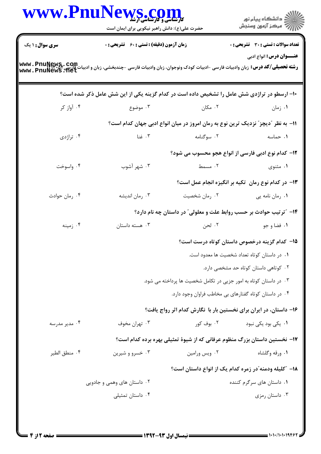|                                                                                                                                      | WWW.PnuNews.com<br>حضرت علی(ع): دانش راهبر نیکویی برای ایمان است                            |                                                                                  | ِ<br>∭ دانشڪاه پيام نور<br>∭ مرڪز آزمون وسنڊش         |
|--------------------------------------------------------------------------------------------------------------------------------------|---------------------------------------------------------------------------------------------|----------------------------------------------------------------------------------|-------------------------------------------------------|
| سری سوال: ۱ یک                                                                                                                       | <b>زمان آزمون (دقیقه) : تستی : 60 ٪ تشریحی : 0</b>                                          |                                                                                  | تعداد سوالات : تستى : 30 ٪ تشريحي : 0                 |
| رشته تحصیلی/کد درس: زبان وادبیات فارسی -ادبیات کودک ونوجوان، زبان وادبیات فارسی -چندبخشی، زبان و ادبیات فارسی<br>www . PnuNews . net |                                                                                             |                                                                                  | <b>عنـــوان درس:</b> انواع ادبي                       |
|                                                                                                                                      | ۱۰- ارسطو در تراژدی شش عامل را تشخیص داده است در کدام گزینه یکی از این شش عامل ذکر شده است؟ |                                                                                  |                                                       |
| ۰۴ آواز کر                                                                                                                           | ۰۳ موضوع                                                                                    | ۰۲ مکان                                                                          | ۰۱ زمان                                               |
|                                                                                                                                      |                                                                                             | 11– به نظر "دیچز" نزدیک ترین نوع به رمان امروز در میان انواع ادبی جهان کدام است؟ |                                                       |
| ۰۴ تراژدی                                                                                                                            | ۰۳ غنا                                                                                      | ۰۲ سوگنامه                                                                       | ۰۱ حماسه                                              |
|                                                                                                                                      |                                                                                             |                                                                                  | 12- کدام نوع ادبی فارسی از انواع هجو محسوب می شود؟    |
| ۰۴ واسوخت                                                                                                                            | ۰۳ شهر آشوب                                                                                 | ۲. مسمط                                                                          | ۰۱ مثنوی                                              |
|                                                                                                                                      |                                                                                             |                                                                                  | ۱۳– در کدام نوع رمان ِ تکیه بر انگیزه انجام عمل است؟  |
| ۰۴ رمان حوادث                                                                                                                        | ۰۳ رمان انديشه                                                                              | ۰۲ رمان شخصیت                                                                    | ۰۱ رمان نامه یی                                       |
|                                                                                                                                      |                                                                                             | ۱۴- "ترتیب حوادث بر حسب روابط علت و معلولی" در داستان چه نام دارد؟               |                                                       |
| ۰۴ زمینه                                                                                                                             | ۰۳ هسته داستان                                                                              | ۰۲ لحن                                                                           | ۰۱ فضا و جو                                           |
|                                                                                                                                      |                                                                                             |                                                                                  | ۱۵– کدام گزینه درخصوص داستان کوتاه درست است؟          |
|                                                                                                                                      | ٠١ در داستان كوتاه تعداد شخصيت ها معدود است.                                                |                                                                                  |                                                       |
|                                                                                                                                      | ۰۲ کوتاهی داستان کوتاه حد مشخصی دارد.                                                       |                                                                                  |                                                       |
|                                                                                                                                      |                                                                                             | ۰۳ در داستان کوتاه به امور جزیی در تکامل شخصیت ها پرداخته می شود.                |                                                       |
|                                                                                                                                      |                                                                                             | ۰۴ در داستان کوتاه گفتارهای بی مخاطب فراوان وجود دارد.                           |                                                       |
|                                                                                                                                      |                                                                                             | ۱۶– داستان، در ایران برای نخستین بار با نگارش کدام اثر رواج یافت؟                |                                                       |
| ۰۴ مدیر مدرسه                                                                                                                        | ۰۳ تهران مخوف                                                                               | ۰۲ بوف کور                                                                       | ۰۱ یکی بود یکی نبود                                   |
|                                                                                                                                      |                                                                                             | ۱۷– نخستین داستان بزرگ منظوم عرفانی که از شیوهٔ تمثیلی بهره برده کدام است؟       |                                                       |
| ۰۴ منطق الطير                                                                                                                        | ۰۳ خسرو و شیرین                                                                             | ۰۲ ویس ورامین                                                                    | ۰۱ ورقه وگلشاه                                        |
|                                                                                                                                      |                                                                                             |                                                                                  | ۱۸– ″کلیله ودمنه″در زمره کدام یک از انواع داستان است؟ |
|                                                                                                                                      | ۰۲ داستان های وهمی و جادویی                                                                 |                                                                                  | ۰۱ داستان های سرگرم کننده                             |
|                                                                                                                                      | ۰۴ داستان تمثیلی                                                                            |                                                                                  | ۰۳ داستان رمزی                                        |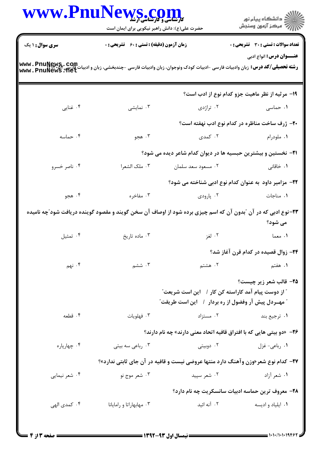|                                                                                                                                             | WWW.PnuNews.com<br>حضرت علی(ع): دانش راهبر نیکویی برای ایمان است<br><b>زمان آزمون (دقیقه) : تستی : 60 ٪ تشریحی : 0</b> |                                                                                                                                   | ر دانشگاه پيام نور<br>ا∛هرکز آزمون وسنجش<br><b>تعداد سوالات : تستی : 30 ٪ تشریحی : 0</b>                                |
|---------------------------------------------------------------------------------------------------------------------------------------------|------------------------------------------------------------------------------------------------------------------------|-----------------------------------------------------------------------------------------------------------------------------------|-------------------------------------------------------------------------------------------------------------------------|
| <b>سری سوال : ۱ یک</b>                                                                                                                      |                                                                                                                        |                                                                                                                                   |                                                                                                                         |
| <b>رشته تحصیلی/کد درس:</b> زبان وادبیات فارسی -ادبیات کودک ونوجوان، زبان وادبیات فارسی -چندبخشی، زبان و ادبیات فارسی<br>www . PnuNews . net |                                                                                                                        |                                                                                                                                   | <b>عنـــوان درس:</b> انواع ادبي                                                                                         |
|                                                                                                                                             |                                                                                                                        |                                                                                                                                   | ۱۹- مرثیه از نظر ماهیت جزو کدام نوع از ادب است؟                                                                         |
| ۰۴ غنایی                                                                                                                                    | ۰۳ نمایشی                                                                                                              |                                                                                                                                   | <b>۱.</b> حماسی سه سه ۲. تراژدی                                                                                         |
|                                                                                                                                             |                                                                                                                        |                                                                                                                                   | ۲۰– ژرف ساخت مناظره در کدام نوع ادب نهفته است؟                                                                          |
| ۰۴ حماسه                                                                                                                                    | ۰۳ هجو                                                                                                                 | ۰۲ کمدی                                                                                                                           | ۰۱ ملودرام                                                                                                              |
|                                                                                                                                             |                                                                                                                        |                                                                                                                                   | <b>۲۱</b> - نخستین و بیشترین حبسیه ها در دیوان کدام شاعر دیده می شود؟                                                   |
| ۰۴ ناصر خسرو                                                                                                                                | ۰۳ ملک الشعرا                                                                                                          | ۰۲ مسعود سعد سلمان                                                                                                                | ۰۱ خاقانی                                                                                                               |
|                                                                                                                                             |                                                                                                                        |                                                                                                                                   | ۲۲– مزامیر داود به عنوان کدام نوع ادبی شناخته می شود؟                                                                   |
| ۰۴ هجو                                                                                                                                      | ۰۳ مفاخره                                                                                                              | ۰۲ پارودی                                                                                                                         | ۰۱ مناجات                                                                                                               |
|                                                                                                                                             |                                                                                                                        |                                                                                                                                   | ۲۳-نوع ادبی که در آن ″بدون آن که اسم چیزی برده شود از اوصاف آن سخن گویند و مقصود گوینده دریافت شود″چه نامیده<br>می شود؟ |
| ۰۴ تمثیل                                                                                                                                    | ۰۳ ماده تاریخ                                                                                                          | ۰۲ لغز                                                                                                                            | ١. معما                                                                                                                 |
|                                                                                                                                             |                                                                                                                        |                                                                                                                                   | ۲۴- زوال قصیده در کدام قرن آغاز شد؟                                                                                     |
| $\ddot{\phantom{a}}$ ۰۴ نهم                                                                                                                 | ۰۳ ششم                                                                                                                 | ۰۲ هشتم                                                                                                                           | <b>۱</b> . هفتم                                                                                                         |
|                                                                                                                                             |                                                                                                                        | <b>" از دوست پیام آمد کاراسته کن کار /</b> این است شریعت <i>"</i><br><b>" مهــردل پیش آر وفضول از ره بردار ۱ گاین است طریقت</b> " | ۲۵– قالب شعر زیر چیست؟                                                                                                  |
| ۰۴ قطعه                                                                                                                                     | ۰۳ فهلویات                                                                                                             | ۰۲ مستزاد                                                                                                                         | ۰۱ ترجیع بند                                                                                                            |
|                                                                                                                                             |                                                                                                                        |                                                                                                                                   | <b>۲۶</b> - «دو بیتی هایی که با افتراق قافیه اتحاد معنی دارند» چه نام دارند؟                                            |
| ۰۴ چهارپاره                                                                                                                                 | ۰۳ رباعی سه بیتی                                                                                                       | ۰۲ دوبیتی                                                                                                                         | ۰۱ رباعی- غزل                                                                                                           |
|                                                                                                                                             |                                                                                                                        |                                                                                                                                   | <b>37- کدام نوع شعر «وزن وآهنگ دارد منتها عروضی نیست و قافیه در آن جای ثابتی ندارد»؟</b>                                |
| ۰۴ شعر نیمایی                                                                                                                               | ۰۳ شعر موج نو                                                                                                          | ۰۲ شعر سپید                                                                                                                       | ۰۱ شعر آزاد                                                                                                             |
|                                                                                                                                             |                                                                                                                        |                                                                                                                                   | ۲۸- معروف ترین حماسه ادبیات سانسکریت چه نام دارد؟                                                                       |
| ۰۴ کمدی الهی                                                                                                                                | ۰۳ مهابهاراتا و رامایانا                                                                                               | ۰۲ آنه ائید                                                                                                                       | ۰۱ ایلیاد و ادیسه                                                                                                       |
|                                                                                                                                             |                                                                                                                        |                                                                                                                                   |                                                                                                                         |